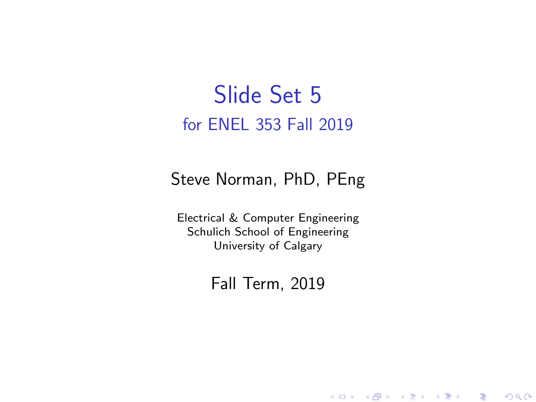#### Slide Set 5 for ENEL 353 Fall 2019

#### Steve Norman, PhD, PEng

Electrical & Computer Engineering Schulich School of Engineering University of Calgary

Fall Term, 2019

メロメ メ御メ メ君メ メ君メー

一番

 $2Q$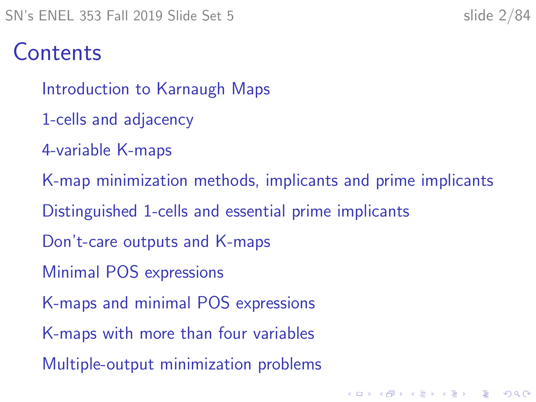#### **Contents**

[Introduction to Karnaugh Maps](#page-2-0)

- [1-cells and adjacency](#page-11-0)
- [4-variable K-maps](#page-17-0)
- [K-map minimization methods, implicants and prime implicants](#page-28-0) [Distinguished 1-cells and essential prime implicants](#page-38-0) [Don't-care outputs and K-maps](#page-51-0) [Minimal POS expressions](#page-60-0) [K-maps and minimal POS expressions](#page-66-0) [K-maps with more than four variables](#page-72-0) [Multiple-output minimization problems](#page-79-0)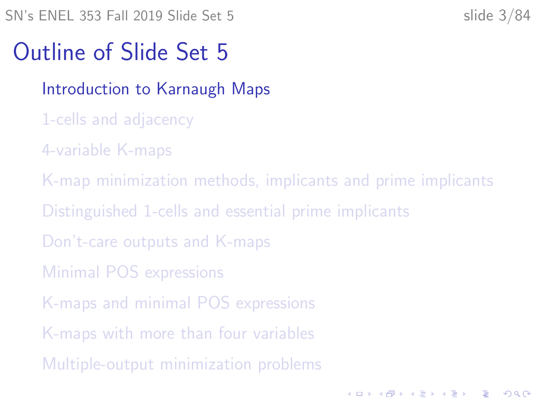<span id="page-2-0"></span> $SN's ENEL 353 Fall 2019 Slide Set 5$  slide 3/84

**KORKARYKERKER OQO** 

#### Outline of Slide Set 5

#### [Introduction to Karnaugh Maps](#page-2-0)

- [1-cells and adjacency](#page-11-0)
- [4-variable K-maps](#page-17-0)
- [K-map minimization methods, implicants and prime implicants](#page-28-0)
- [Distinguished 1-cells and essential prime implicants](#page-38-0)
- [Don't-care outputs and K-maps](#page-51-0)
- [Minimal POS expressions](#page-60-0)
- [K-maps and minimal POS expressions](#page-66-0)
- [K-maps with more than four variables](#page-72-0)
- [Multiple-output minimization problems](#page-79-0)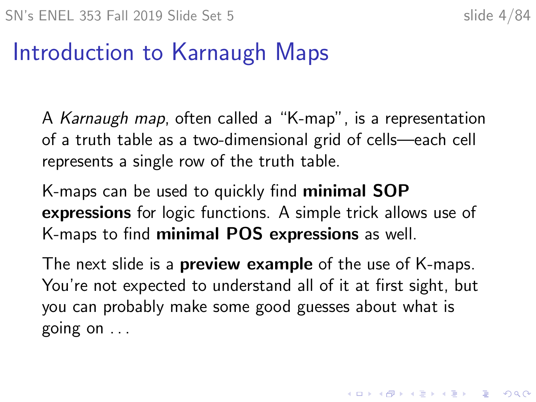### Introduction to Karnaugh Maps

A Karnaugh map, often called a "K-map", is a representation of a truth table as a two-dimensional grid of cells—each cell represents a single row of the truth table.

K-maps can be used to quickly find minimal SOP expressions for logic functions. A simple trick allows use of K-maps to find minimal POS expressions as well.

The next slide is a **preview example** of the use of K-maps. You're not expected to understand all of it at first sight, but you can probably make some good guesses about what is going on . . .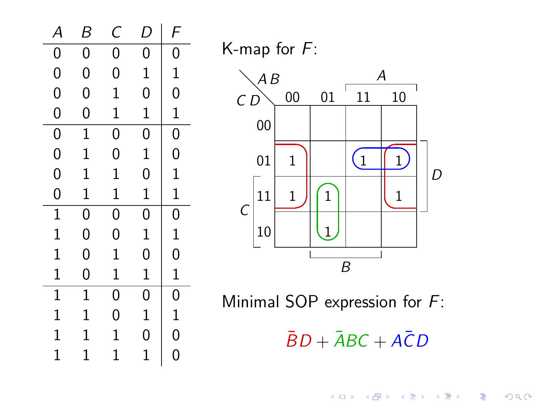

K-map for F:



Minimal SOP expression for F:

 $\bar{B}D + \bar{A}BC + A\bar{C}D$ 

メロメ メ御メ メ君メ メ君メ

È

 $2Q$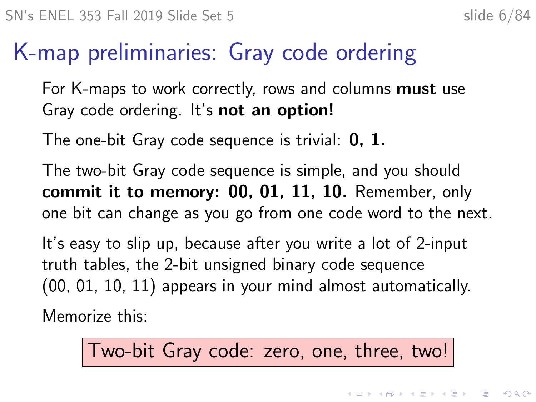#### K-map preliminaries: Gray code ordering

For K-maps to work correctly, rows and columns **must** use Gray code ordering. It's not an option!

The one-bit Gray code sequence is trivial:  $0, 1$ .

The two-bit Gray code sequence is simple, and you should commit it to memory: 00, 01, 11, 10. Remember, only one bit can change as you go from one code word to the next.

It's easy to slip up, because after you write a lot of 2-input truth tables, the 2-bit unsigned binary code sequence (00, 01, 10, 11) appears in your mind almost automatically.

Memorize this:

Two-bit Gray code: zero, one, three, two!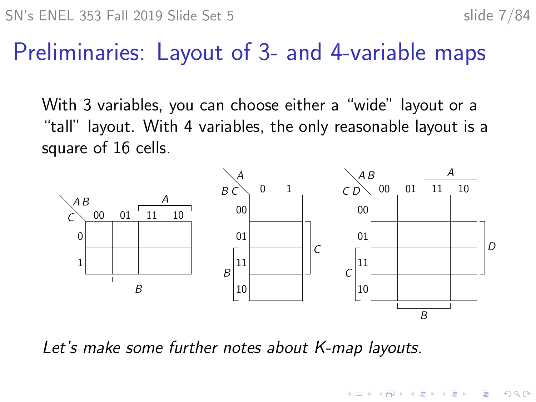$\mathbf{E} = \mathbf{A} \oplus \mathbf{A} + \mathbf{A} \oplus \mathbf{A} + \mathbf{A} \oplus \mathbf{A} + \mathbf{A} \oplus \mathbf{A}$ 

#### Preliminaries: Layout of 3- and 4-variable maps

With 3 variables, you can choose either a "wide" layout or a "tall" layout. With 4 variables, the only reasonable layout is a square of 16 cells.



Let's make some further notes about K-map layouts.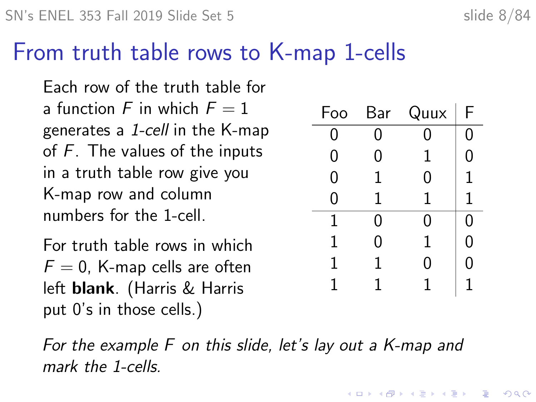#### From truth table rows to K-map 1-cells

Each row of the truth table for a function F in which  $F = 1$ generates a 1-cell in the K-map of  $F$ . The values of the inputs in a truth table row give you K-map row and column numbers for the 1-cell.

For truth table rows in which  $F = 0$ , K-map cells are often left blank. (Harris & Harris put 0's in those cells.)

| Foo | Bar | Quux        | F |
|-----|-----|-------------|---|
| 0   | 0   |             | 0 |
| 0   | 0   | 1           | 0 |
| 0   | 1   | 0           | 1 |
| 0   | 1   | 1           | 1 |
| 1   | 0   | 0           | 0 |
| 1   | 0   | $\mathbf 1$ | 0 |
| 1   | 1   | 0           | ი |
|     | 1   |             |   |

**KORKARYKERKER OQO** 

For the example F on this slide, let's lay out a K-map and mark the 1-cells.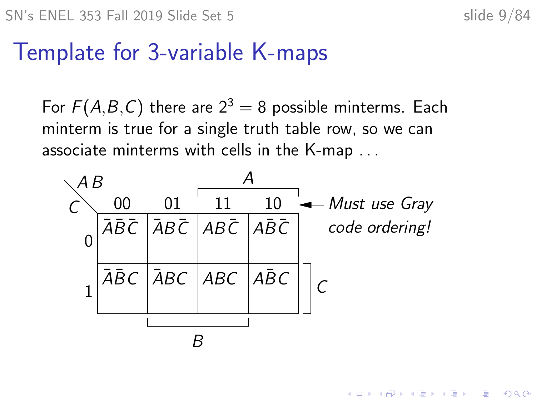モニメ イ ランス ミンス キロメ

#### Template for 3-variable K-maps

For  $F(A,B,C)$  there are  $2^3 = 8$  possible minterms. Each minterm is true for a single truth table row, so we can associate minterms with cells in the K-map . . .

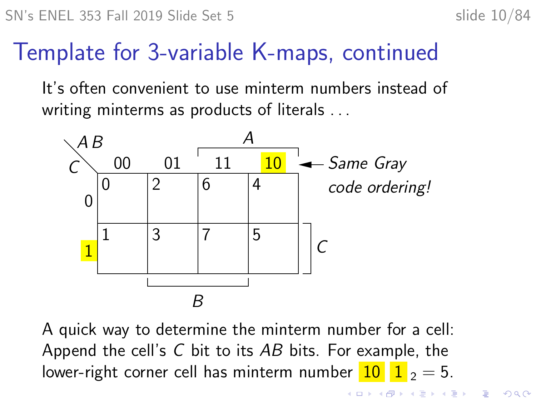### Template for 3-variable K-maps, continued

It's often convenient to use minterm numbers instead of writing minterms as products of literals . . .



A quick way to determine the minterm number for a cell: Append the cell's  $C$  bit to its  $AB$  bits. For example, the lower-right corner cell has minterm number  $10 \mid 1$ , = 5.

> $\overline{z}$  (  $\overline{z}$  )  $\overline{z}$  )  $\overline{z}$  )  $\overline{z}$  )  $\overline{z}$  $2990$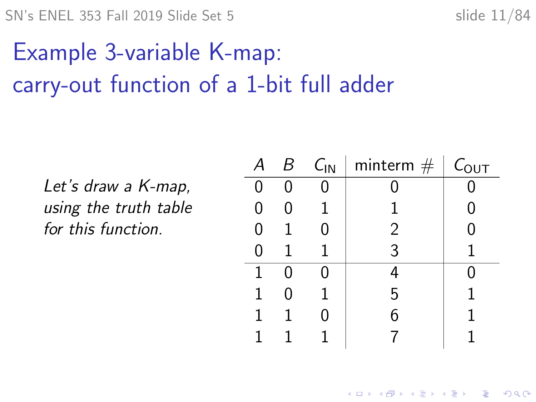$SN's ENEL 353 Fall 2019 Slide Set 5$  slide 11/84

## Example 3-variable K-map: carry-out function of a 1-bit full adder

Let's draw a K-map, using the truth table for this function.

|   | В | $C_{IN}$ | minterm $#$ | $C_{\text{OUT}}$ |
|---|---|----------|-------------|------------------|
| ი |   | ሰ        |             |                  |
| 0 |   |          |             | 0                |
| 0 |   | 0        | 2           | ი                |
|   |   |          | 3           |                  |
|   |   |          |             |                  |
|   | 0 |          | 5           |                  |
|   |   |          |             |                  |
|   |   |          |             |                  |

K ロ ▶ K 個 ▶ K 할 ▶ K 할 ▶ 이 할 → 이익 @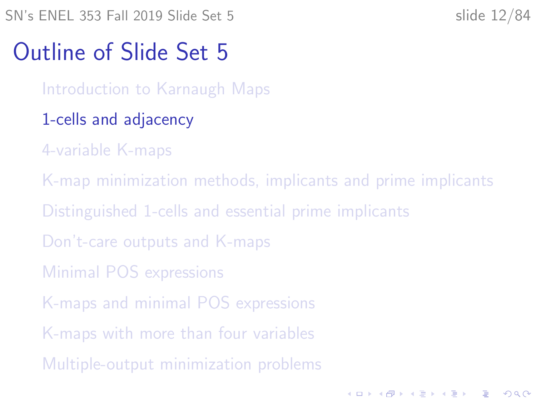<span id="page-11-0"></span>SN's ENEL 353 Fall 2019 Slide Set 5 slide 12/84

**KORKARYKERKER OQO** 

#### Outline of Slide Set 5

[Introduction to Karnaugh Maps](#page-2-0)

- [1-cells and adjacency](#page-11-0)
- [4-variable K-maps](#page-17-0)
- [K-map minimization methods, implicants and prime implicants](#page-28-0) [Distinguished 1-cells and essential prime implicants](#page-38-0) [Don't-care outputs and K-maps](#page-51-0) [Minimal POS expressions](#page-60-0) [K-maps and minimal POS expressions](#page-66-0) [K-maps with more than four variables](#page-72-0) [Multiple-output minimization problems](#page-79-0)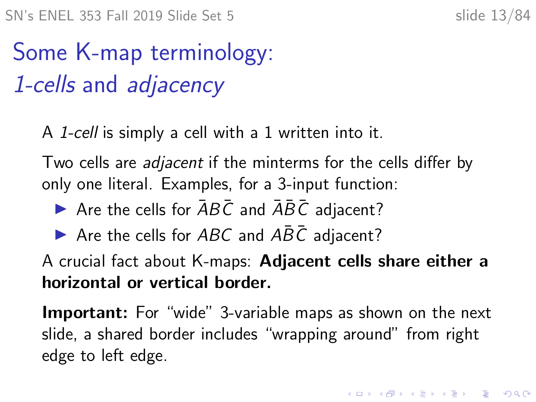# Some K-map terminology: 1-cells and adjacency

A 1-cell is simply a cell with a 1 written into it.

Two cells are *adjacent* if the minterms for the cells differ by only one literal. Examples, for a 3-input function:

- Are the cells for  $\overline{AB}\overline{C}$  and  $\overline{AB}\overline{C}$  adjacent?
- $\triangleright$  Are the cells for ABC and ABC adjacent?

A crucial fact about K-maps: Adjacent cells share either a horizontal or vertical border.

**Important:** For "wide" 3-variable maps as shown on the next slide, a shared border includes "wrapping around" from right edge to left edge.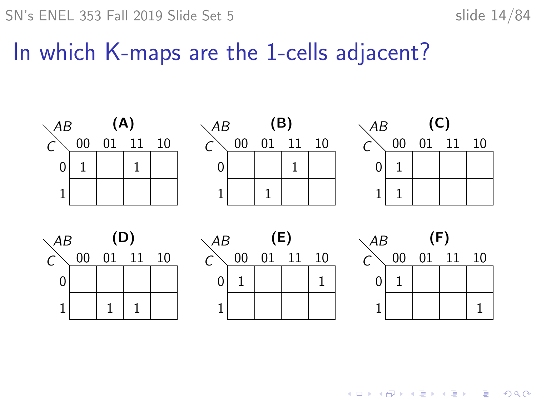$SN's ENEL 353 Fall 2019 Slide Set 5$  slide 14/84

#### In which K-maps are the 1-cells adjacent?



 $\mathbf{E} = \mathbf{A} \oplus \mathbf{B} + \mathbf{A} \oplus \mathbf{B} + \mathbf{A} \oplus \mathbf{B} + \mathbf{A} \oplus \mathbf{A}$  $299$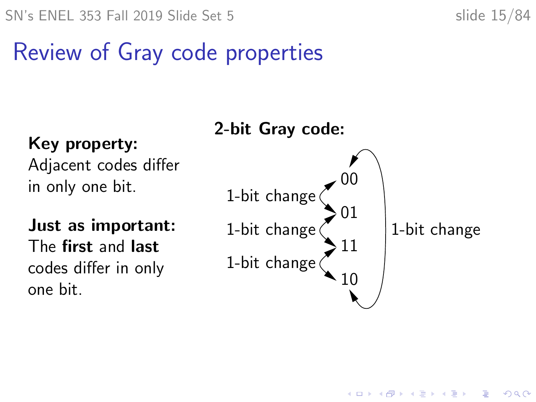Ξ

## Review of Gray code properties

Key property: Adjacent codes differ in only one bit.

Just as important: The first and last codes differ in only one bit.



 $4$  ロ )  $4$   $\overline{r}$  )  $4$   $\overline{z}$  )  $4$   $\overline{z}$  )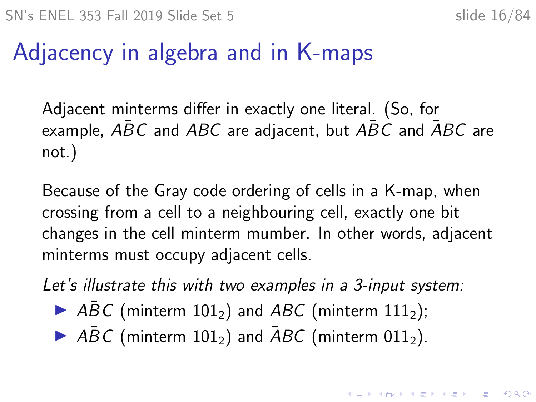### Adjacency in algebra and in K-maps

Adjacent minterms differ in exactly one literal. (So, for example,  $\overline{ABC}$  and  $\overline{ABC}$  are adjacent, but  $\overline{ABC}$  and  $\overline{ABC}$  are not.)

Because of the Gray code ordering of cells in a K-map, when crossing from a cell to a neighbouring cell, exactly one bit changes in the cell minterm mumber. In other words, adjacent minterms must occupy adjacent cells.

Let's illustrate this with two examples in a 3-input system:

- $\triangleright$  ABC (minterm 101<sub>2</sub>) and ABC (minterm 111<sub>2</sub>);
- $\triangleright$  ABC (minterm 101<sub>2</sub>) and ABC (minterm 011<sub>2</sub>).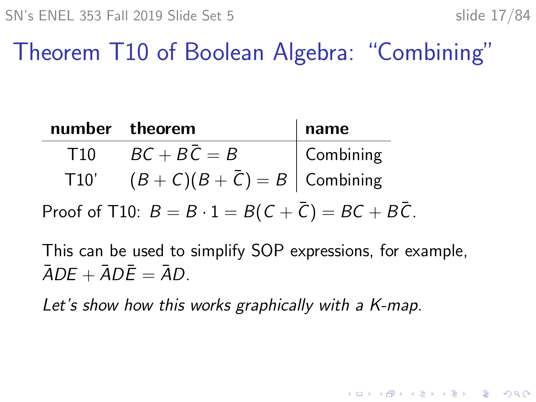**KORKARYKERKER OQO** 

Theorem T10 of Boolean Algebra: "Combining"

|                 | number theorem           | name      |
|-----------------|--------------------------|-----------|
| T <sub>10</sub> | $BC + BC = B$            | Combining |
| T10'            | $(B+C)(B+C)=B$ Combining |           |

Proof of T10:  $B = B \cdot 1 = B(C + \overline{C}) = BC + B\overline{C}$ .

This can be used to simplify SOP expressions, for example,  $\overline{A}DF + \overline{A}D\overline{F} = \overline{A}D$ 

Let's show how this works graphically with a K-map.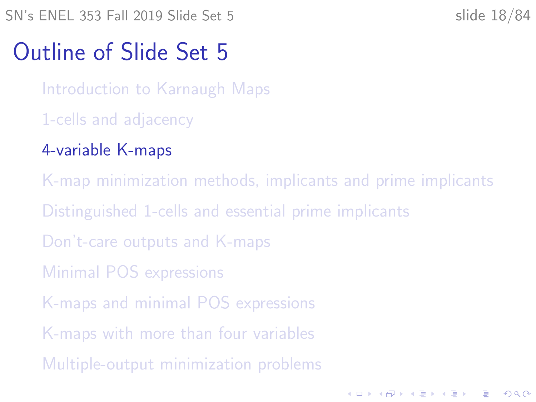<span id="page-17-0"></span>SN's ENEL 353 Fall 2019 Slide Set 5 slide 18/84

**KORKARYKERKER POLO** 

#### Outline of Slide Set 5

[Introduction to Karnaugh Maps](#page-2-0)

- [1-cells and adjacency](#page-11-0)
- [4-variable K-maps](#page-17-0)
- [K-map minimization methods, implicants and prime implicants](#page-28-0) [Distinguished 1-cells and essential prime implicants](#page-38-0) [Don't-care outputs and K-maps](#page-51-0) [Minimal POS expressions](#page-60-0) [K-maps and minimal POS expressions](#page-66-0) [K-maps with more than four variables](#page-72-0) [Multiple-output minimization problems](#page-79-0)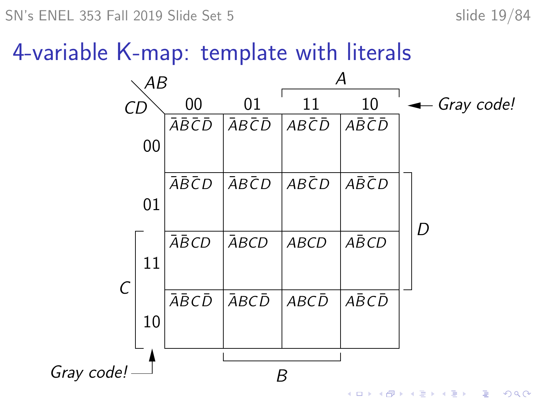$SN's ENEL 353 Fall 2019 Slide Set 5$  slide 19/84

### 4-variable K-map: template with literals

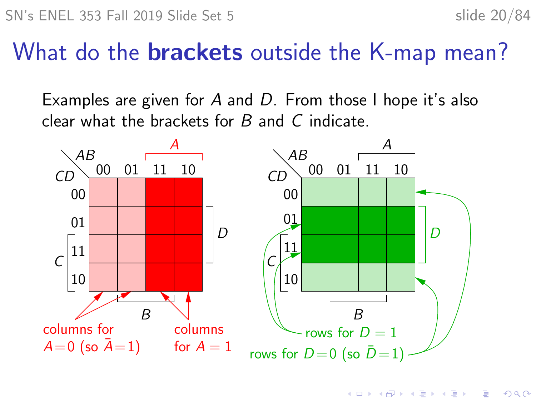$\mathbf{A} \equiv \mathbf{A} + \mathbf{A} + \mathbf{B} + \mathbf{A} + \mathbf{B} + \mathbf{A} + \mathbf{B} + \mathbf{A} + \mathbf{B} + \mathbf{A} + \mathbf{B} + \mathbf{A} + \mathbf{B} + \mathbf{A} + \mathbf{B} + \mathbf{A} + \mathbf{B} + \mathbf{A} + \mathbf{B} + \mathbf{A} + \mathbf{B} + \mathbf{A} + \mathbf{B} + \mathbf{A} + \mathbf{B} + \mathbf{A} + \mathbf{B} + \mathbf{A} + \mathbf{B} + \mathbf{A} + \math$ 

 $2990$ 

#### What do the **brackets** outside the K-map mean?

Examples are given for A and D. From those I hope it's also clear what the brackets for  $B$  and  $C$  indicate.

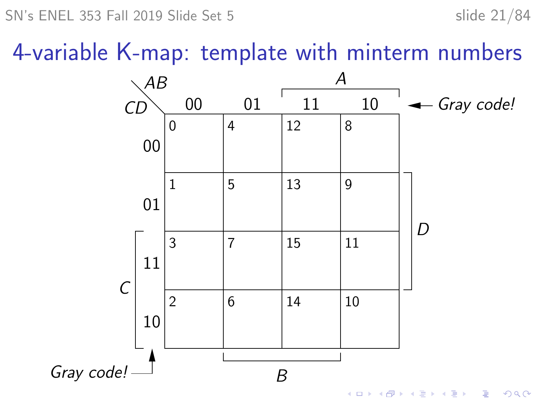SN's ENEL 353 Fall 2019 Slide Set 5 slide 21/84

4-variable K-map: template with minterm numbers

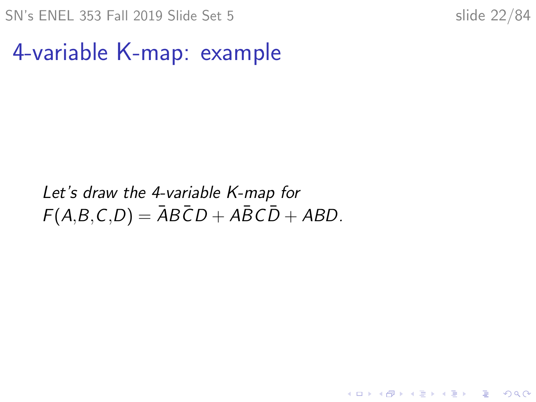SN's ENEL 353 Fall 2019 Slide Set 5 slide 22/84

K ロ ▶ K 個 ▶ K 할 ▶ K 할 ▶ 이 할 → 9 Q Q →

4-variable K-map: example

Let's draw the 4-variable K-map for  $F(A,B,C,D) = \overline{A}B\overline{C}D + A\overline{B}C\overline{D} + ABD$ .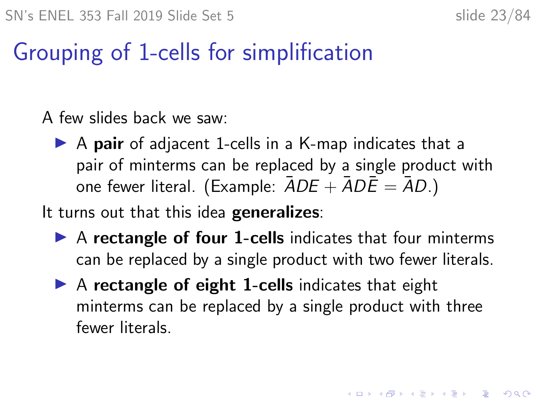**KORKAR KERKER SAGA** 

### Grouping of 1-cells for simplification

A few slides back we saw:

 $\triangleright$  A pair of adjacent 1-cells in a K-map indicates that a pair of minterms can be replaced by a single product with one fewer literal. (Example:  $\overline{ADE} + \overline{ADE} = \overline{AD}$ .)

It turns out that this idea generalizes:

- $\triangleright$  A rectangle of four 1-cells indicates that four minterms can be replaced by a single product with two fewer literals.
- $\triangleright$  A rectangle of eight 1-cells indicates that eight minterms can be replaced by a single product with three fewer literals.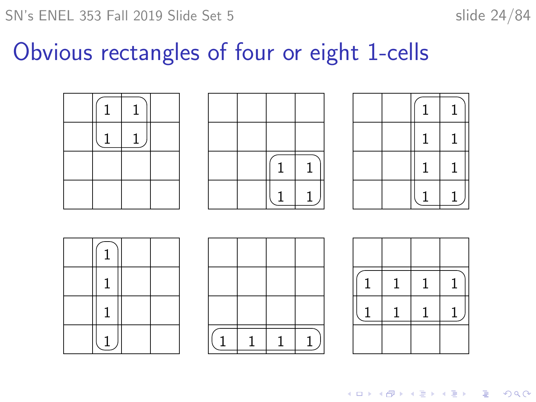#### Obvious rectangles of four or eight 1-cells









K ロ ▶ K 個 ▶ K 결 ▶ K 결 ▶ │ 결 │ K 9 Q Q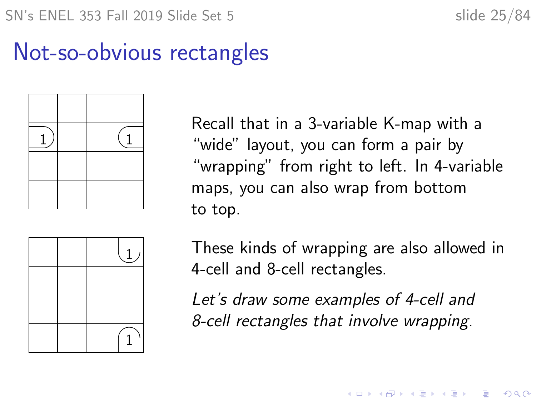### Not-so-obvious rectangles



Recall that in a 3-variable K-map with a "wide" layout, you can form a pair by "wrapping" from right to left. In 4-variable maps, you can also wrap from bottom to top.



These kinds of wrapping are also allowed in 4-cell and 8-cell rectangles.

**KORKARYKERKER POLO** 

Let's draw some examples of 4-cell and 8-cell rectangles that involve wrapping.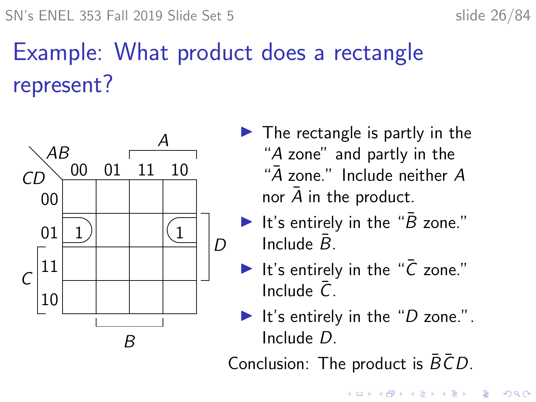# <span id="page-25-0"></span>Example: What product does a rectangle represent?



- $\blacktriangleright$  The rectangle is partly in the "A zone" and partly in the " $\bar{A}$  zone." Include neither  $A$ nor  $A$  in the product.
- It's entirely in the " $\bar{B}$  zone." Include  $\bar{B}$ .
- It's entirely in the " $\bar{C}$  zone." Include  $\bar{C}$
- It's entirely in the " $D$  zone.". Include D.

Conclusion: The product is  $B\bar{C}D$ .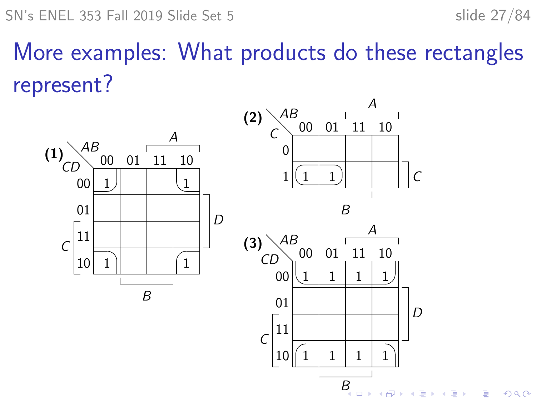Ğ,

 $299$ 

## More examples: What products do these rectangles represent?



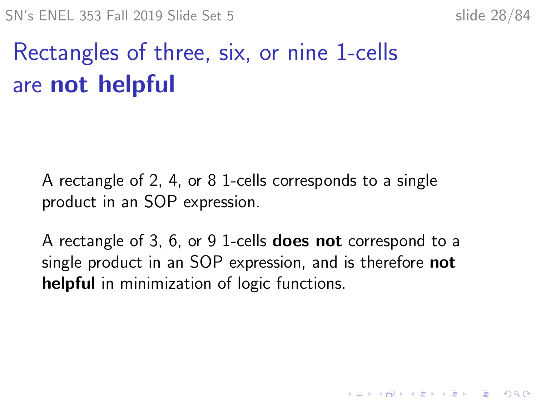# Rectangles of three, six, or nine 1-cells are not helpful

A rectangle of 2, 4, or 8 1-cells corresponds to a single product in an SOP expression.

A rectangle of 3, 6, or 9 1-cells **does not** correspond to a single product in an SOP expression, and is therefore **not** helpful in minimization of logic functions.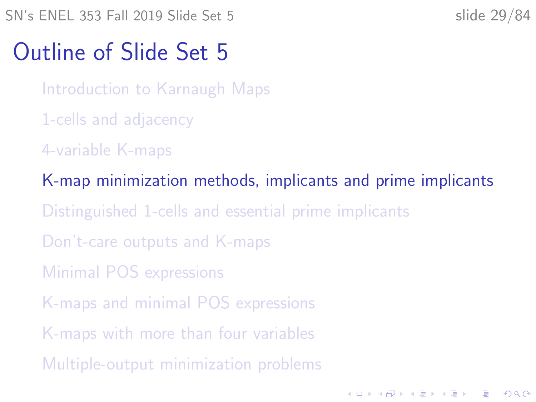<span id="page-28-0"></span>SN's ENEL 353 Fall 2019 Slide Set 5 slide 29/84

**KORKARYKERKER POLO** 

#### Outline of Slide Set 5

[Introduction to Karnaugh Maps](#page-2-0)

- [1-cells and adjacency](#page-11-0)
- [4-variable K-maps](#page-17-0)

[K-map minimization methods, implicants and prime implicants](#page-28-0) [Distinguished 1-cells and essential prime implicants](#page-38-0) [Don't-care outputs and K-maps](#page-51-0) [Minimal POS expressions](#page-60-0) [K-maps and minimal POS expressions](#page-66-0) [K-maps with more than four variables](#page-72-0) [Multiple-output minimization problems](#page-79-0)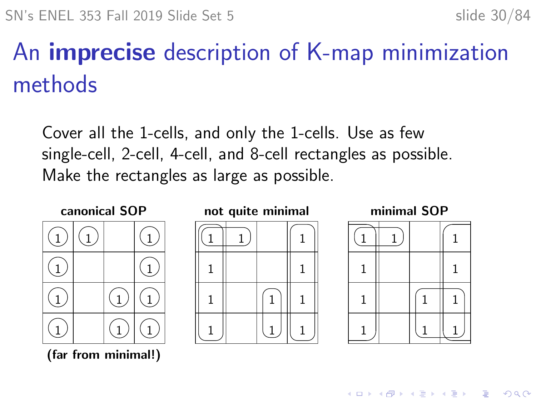**KORK EXTERNE PROVIDE** 

## An imprecise description of K-map minimization methods

Cover all the 1-cells, and only the 1-cells. Use as few single-cell, 2-cell, 4-cell, and 8-cell rectangles as possible. Make the rectangles as large as possible.



(far from minimal!)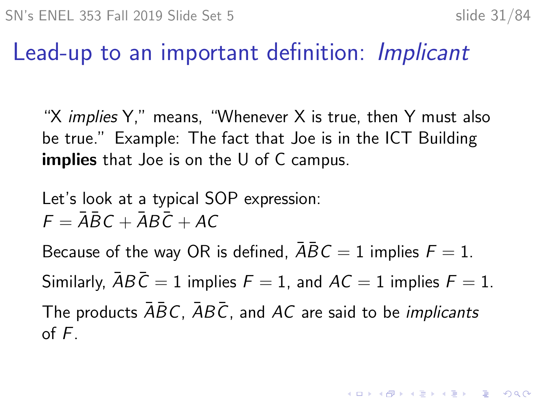#### Lead-up to an important definition: Implicant

"X *implies* Y," means, "Whenever X is true, then Y must also be true." Example: The fact that Joe is in the ICT Building **implies** that Joe is on the U of C campus.

Let's look at a typical SOP expression:  $F = \overline{A} \overline{B} C + \overline{A} B \overline{C} + \overline{A} C$ 

Because of the way OR is defined,  $\overline{ABC} = 1$  implies  $F = 1$ . Similarly,  $\overline{A}B\overline{C} = 1$  implies  $F = 1$ , and  $AC = 1$  implies  $F = 1$ . The products  $\overline{ABC}$ ,  $\overline{ABC}$ , and AC are said to be *implicants* of F.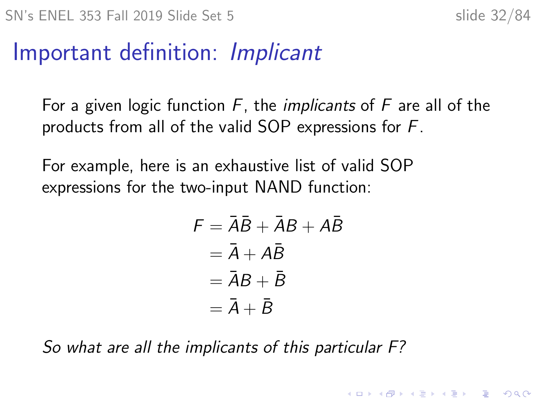#### Important definition: Implicant

For a given logic function  $F$ , the *implicants* of  $F$  are all of the products from all of the valid SOP expressions for F.

For example, here is an exhaustive list of valid SOP expressions for the two-input NAND function:

$$
F = \overline{A}\overline{B} + \overline{A}B + A\overline{B}
$$
  
=  $\overline{A} + A\overline{B}$   
=  $\overline{A}B + \overline{B}$   
=  $\overline{A} + \overline{B}$ 

So what are all the implicants of this particular F?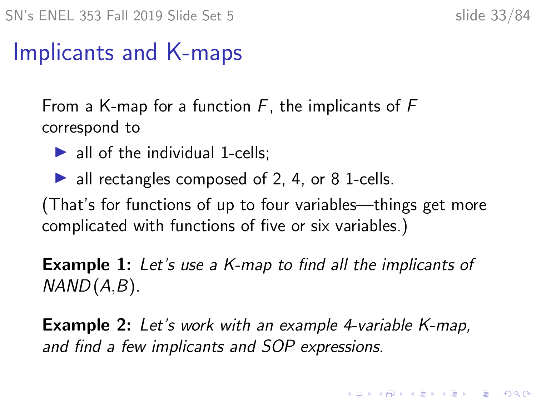### Implicants and K-maps

From a K-map for a function  $F$ , the implicants of  $F$ correspond to

- $\blacktriangleright$  all of the individual 1-cells:
- $\blacktriangleright$  all rectangles composed of 2, 4, or 8 1-cells.

(That's for functions of up to four variables—things get more complicated with functions of five or six variables.)

**Example 1:** Let's use a K-map to find all the implicants of  $NAND(A,B)$ .

**Example 2:** Let's work with an example 4-variable K-map, and find a few implicants and SOP expressions.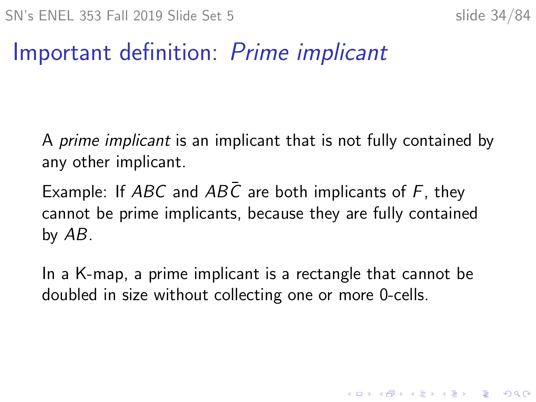KID KA KERKER KID KO

#### Important definition: Prime implicant

A prime implicant is an implicant that is not fully contained by any other implicant.

Example: If ABC and ABC are both implicants of F, they cannot be prime implicants, because they are fully contained by AB.

In a K-map, a prime implicant is a rectangle that cannot be doubled in size without collecting one or more 0-cells.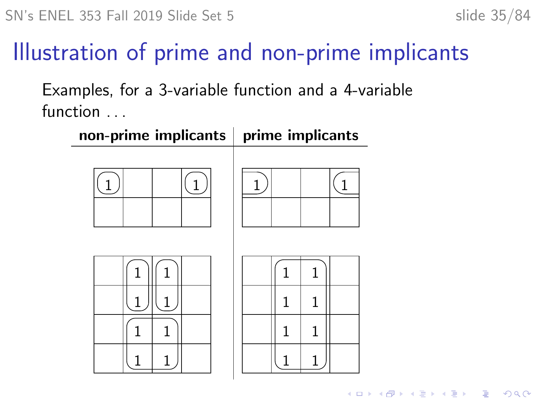## Illustration of prime and non-prime implicants

Examples, for a 3-variable function and a 4-variable function . . .

| non-prime implicants   prime implicants |        |  |  |
|-----------------------------------------|--------|--|--|
|                                         |        |  |  |
| 1                                       | 1<br>1 |  |  |
|                                         | 1<br>1 |  |  |
| 1                                       | 1<br>1 |  |  |
|                                         |        |  |  |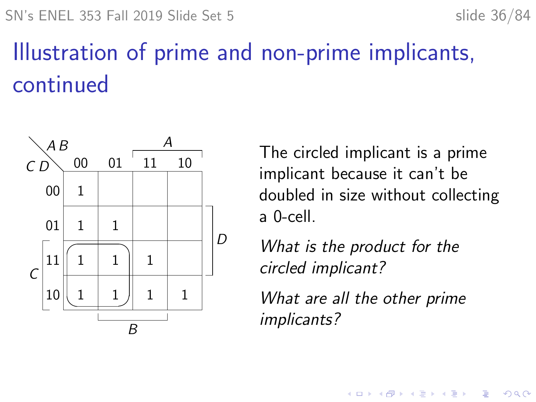## Illustration of prime and non-prime implicants, continued



The circled implicant is a prime implicant because it can't be doubled in size without collecting a 0-cell.

What is the product for the circled implicant?

What are all the other prime implicants?

 $\mathbf{A} \equiv \mathbf{A} + \mathbf{A} + \mathbf{B} + \mathbf{A} + \mathbf{B} + \mathbf{A} + \mathbf{B} + \mathbf{A} + \mathbf{B} + \mathbf{A} + \mathbf{B} + \mathbf{A} + \mathbf{B} + \mathbf{A} + \mathbf{B} + \mathbf{A} + \mathbf{B} + \mathbf{A} + \mathbf{B} + \mathbf{A} + \mathbf{B} + \mathbf{A} + \mathbf{B} + \mathbf{A} + \mathbf{B} + \mathbf{A} + \mathbf{B} + \mathbf{A} + \mathbf{B} + \mathbf{A} + \math$ 

 $2990$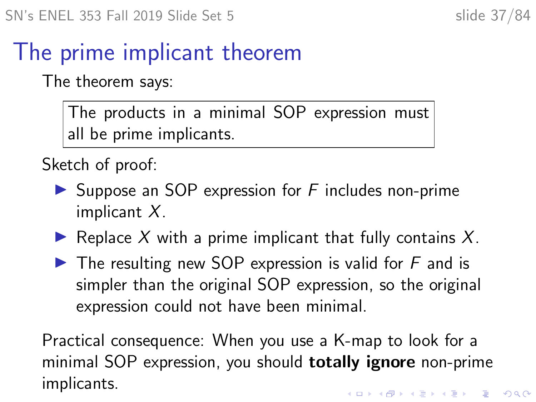## The prime implicant theorem

The theorem says:

The products in a minimal SOP expression must all be prime implicants.

Sketch of proof:

- $\triangleright$  Suppose an SOP expression for F includes non-prime implicant X.
- Replace X with a prime implicant that fully contains X.
- $\blacktriangleright$  The resulting new SOP expression is valid for F and is simpler than the original SOP expression, so the original expression could not have been minimal.

Practical consequence: When you use a K-map to look for a minimal SOP expression, you should **totally ignore** non-prime implicants.**KORKARYKERKER POLO**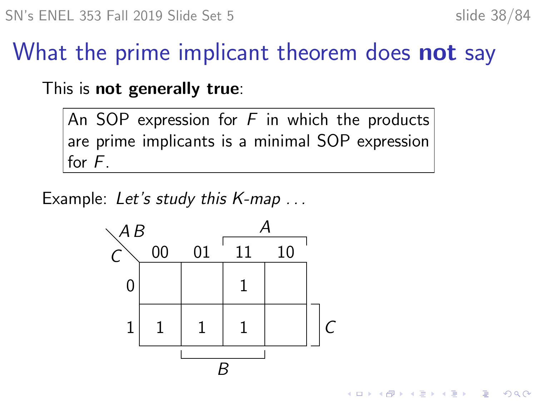$\mathbf{A} \equiv \mathbf{A} + \mathbf{A} + \mathbf{B} + \mathbf{A} + \mathbf{B} + \mathbf{A} + \mathbf{B} + \mathbf{A} + \mathbf{B} + \mathbf{A} + \mathbf{B} + \mathbf{A} + \mathbf{B} + \mathbf{A} + \mathbf{B} + \mathbf{A} + \mathbf{B} + \mathbf{A} + \mathbf{B} + \mathbf{A} + \mathbf{B} + \mathbf{A} + \mathbf{B} + \mathbf{A} + \mathbf{B} + \mathbf{A} + \mathbf{B} + \mathbf{A} + \mathbf{B} + \mathbf{A} + \math$ 

 $2990$ 

## What the prime implicant theorem does **not** say

This is not generally true:

An SOP expression for  $F$  in which the products are prime implicants is a minimal SOP expression for F.

Example: Let's study this K-map ...

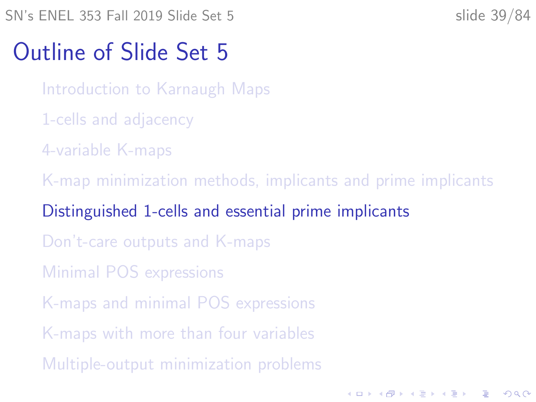<span id="page-38-0"></span>SN's ENEL 353 Fall 2019 Slide Set 5 slide 39/84

**KORKARYKERKER POLO** 

#### Outline of Slide Set 5

[Introduction to Karnaugh Maps](#page-2-0)

- [1-cells and adjacency](#page-11-0)
- [4-variable K-maps](#page-17-0)

[K-map minimization methods, implicants and prime implicants](#page-28-0)

#### [Distinguished 1-cells and essential prime implicants](#page-38-0)

[Don't-care outputs and K-maps](#page-51-0)

[Minimal POS expressions](#page-60-0)

[K-maps and minimal POS expressions](#page-66-0)

[K-maps with more than four variables](#page-72-0)

[Multiple-output minimization problems](#page-79-0)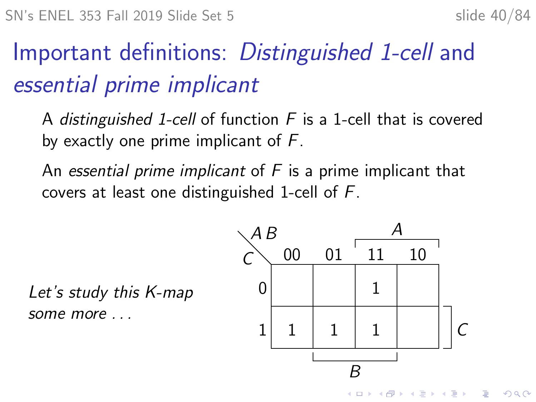## Important definitions: Distinguished 1-cell and essential prime implicant

A distinguished 1-cell of function  $F$  is a 1-cell that is covered by exactly one prime implicant of F.

An essential prime implicant of  $F$  is a prime implicant that covers at least one distinguished 1-cell of F.

Let's study this K-map some more . . .

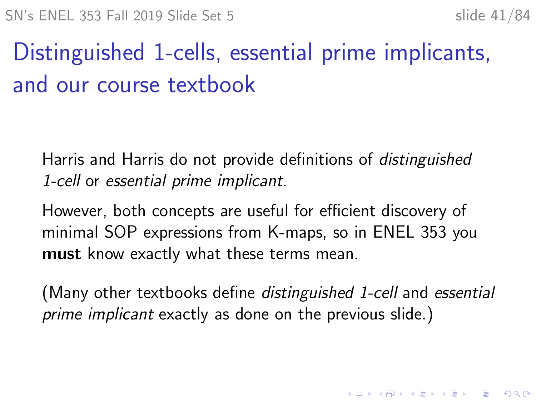KID KA KERKER KID KO

## Distinguished 1-cells, essential prime implicants, and our course textbook

Harris and Harris do not provide definitions of distinguished 1-cell or essential prime implicant.

However, both concepts are useful for efficient discovery of minimal SOP expressions from K-maps, so in ENEL 353 you must know exactly what these terms mean.

(Many other textbooks define *distinguished 1-cell* and essential prime implicant exactly as done on the previous slide.)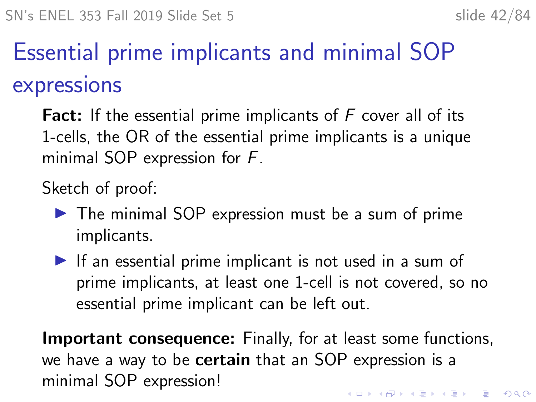## Essential prime implicants and minimal SOP expressions

Fact: If the essential prime implicants of  $F$  cover all of its 1-cells, the OR of the essential prime implicants is a unique minimal SOP expression for F.

Sketch of proof:

- $\triangleright$  The minimal SOP expression must be a sum of prime implicants.
- $\blacktriangleright$  If an essential prime implicant is not used in a sum of prime implicants, at least one 1-cell is not covered, so no essential prime implicant can be left out.

**Important consequence:** Finally, for at least some functions, we have a way to be **certain** that an SOP expression is a minimal SOP expression!.<br>◆ ロ ▶ → *덴 ▶* → 토 ▶ → 토 ▶ │ 토 │ ◆) 9,00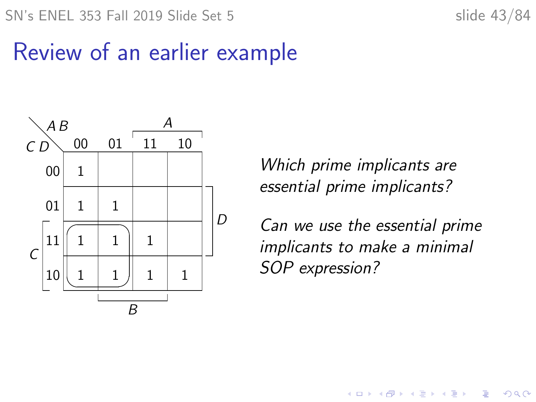SN's ENEL 353 Fall 2019 Slide Set 5 slide 43/84



#### Review of an earlier example



Which prime implicants are essential prime implicants?

Can we use the essential prime implicants to make a minimal SOP expression?

**K ロ ▶ K 何 ▶ K ヨ ▶ K ヨ ▶** 

÷,

 $2990$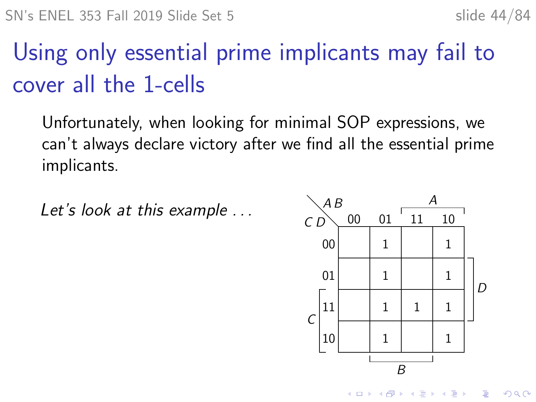## Using only essential prime implicants may fail to cover all the 1-cells

Unfortunately, when looking for minimal SOP expressions, we can't always declare victory after we find all the essential prime implicants.

Let's look at this example  $\ldots$   $A^B$  00 01  $\overline{11}$  10

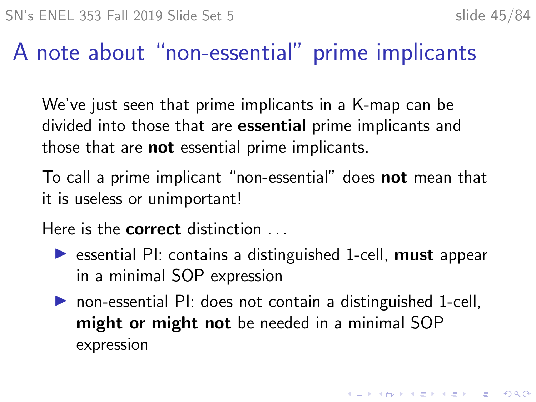## A note about "non-essential" prime implicants

We've just seen that prime implicants in a K-map can be divided into those that are essential prime implicants and those that are **not** essential prime implicants.

To call a prime implicant "non-essential" does not mean that it is useless or unimportant!

Here is the **correct** distinction ...

- $\triangleright$  essential PI: contains a distinguished 1-cell, must appear in a minimal SOP expression
- $\triangleright$  non-essential PI: does not contain a distinguished 1-cell, might or might not be needed in a minimal SOP expression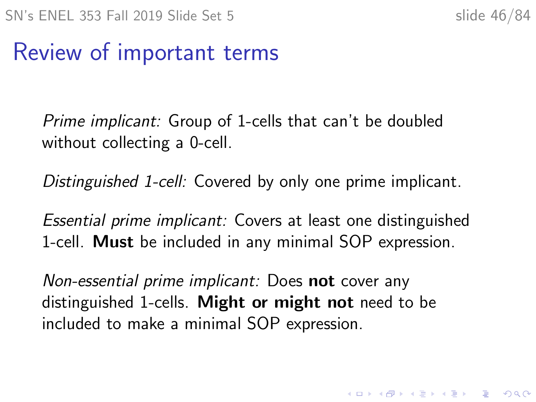KID KA KERKER KID KO

## Review of important terms

Prime implicant: Group of 1-cells that can't be doubled without collecting a 0-cell.

Distinguished 1-cell: Covered by only one prime implicant.

Essential prime implicant: Covers at least one distinguished 1-cell. **Must** be included in any minimal SOP expression.

Non-essential prime implicant: Does not cover any distinguished 1-cells. Might or might not need to be included to make a minimal SOP expression.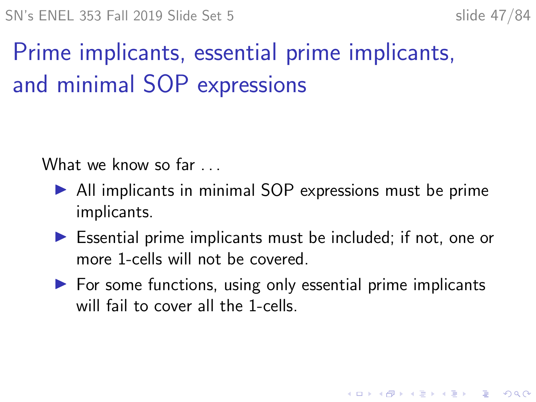## Prime implicants, essential prime implicants, and minimal SOP expressions

What we know so far ...

- $\triangleright$  All implicants in minimal SOP expressions must be prime implicants.
- $\triangleright$  Essential prime implicants must be included; if not, one or more 1-cells will not be covered.
- $\triangleright$  For some functions, using only essential prime implicants will fail to cover all the 1-cells.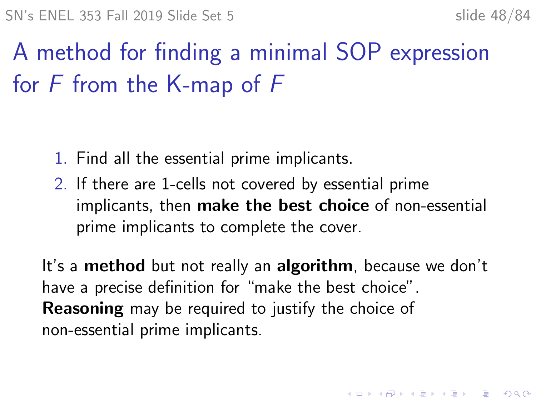## A method for finding a minimal SOP expression for F from the K-map of F

- 1. Find all the essential prime implicants.
- 2. If there are 1-cells not covered by essential prime implicants, then make the best choice of non-essential prime implicants to complete the cover.

It's a method but not really an algorithm, because we don't have a precise definition for "make the best choice". **Reasoning** may be required to justify the choice of non-essential prime implicants.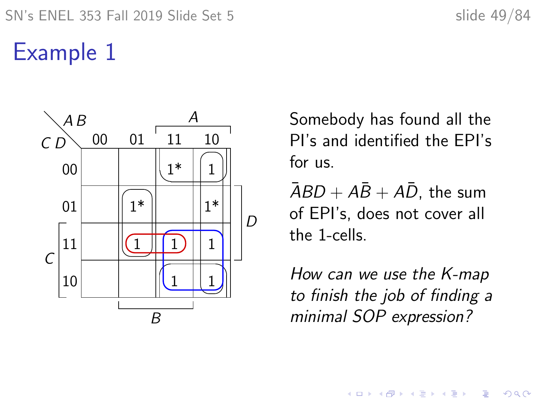## Example 1



Somebody has found all the PI's and identified the EPI's for us.

 $\overline{AB}D + \overline{AB} + \overline{AD}$ , the sum of EPI's, does not cover all the 1-cells.

How can we use the K-map to finish the job of finding a minimal SOP expression?

 $\mathbf{E} = \mathbf{A} \oplus \mathbf{B} + \mathbf{A} \oplus \mathbf{B} + \mathbf{A} \oplus \mathbf{B} + \mathbf{A} \oplus \mathbf{A}$ 

 $2990$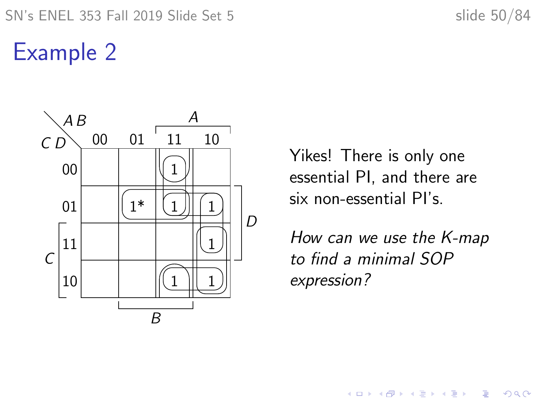## Example 2



Yikes! There is only one essential PI, and there are six non-essential PI's.

How can we use the K-map to find a minimal SOP expression?

イロト 不優 トイ磨 トイ磨 トー 磨っ

 $299$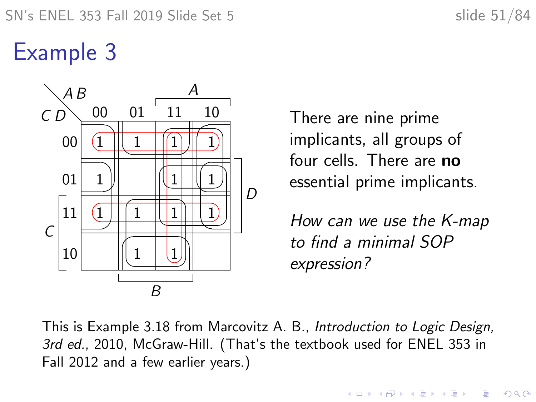## Example 3



There are nine prime implicants, all groups of four cells. There are no essential prime implicants.

How can we use the K-map to find a minimal SOP expression?

**KORKARYKERKER POLO** 

This is Example 3.18 from Marcovitz A. B., Introduction to Logic Design, 3rd ed., 2010, McGraw-Hill. (That's the textbook used for ENEL 353 in Fall 2012 and a few earlier years.)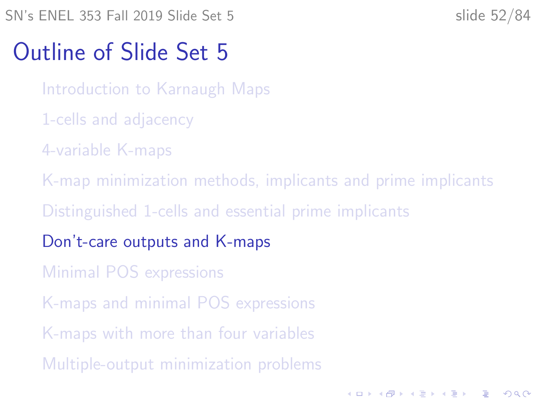<span id="page-51-0"></span>SN's ENEL 353 Fall 2019 Slide Set 5 slide 52/84

**KORKARYKERKER POLO** 

### Outline of Slide Set 5

[Introduction to Karnaugh Maps](#page-2-0)

- [1-cells and adjacency](#page-11-0)
- [4-variable K-maps](#page-17-0)

[K-map minimization methods, implicants and prime implicants](#page-28-0)

[Distinguished 1-cells and essential prime implicants](#page-38-0)

[Don't-care outputs and K-maps](#page-51-0)

[Minimal POS expressions](#page-60-0)

[K-maps and minimal POS expressions](#page-66-0)

[K-maps with more than four variables](#page-72-0)

[Multiple-output minimization problems](#page-79-0)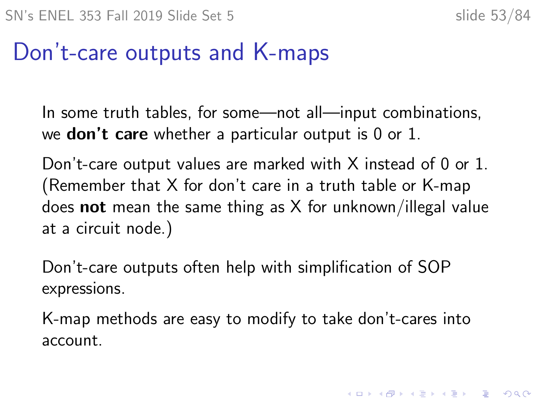4 0 > 4 4 + 4 = + 4 = + = + + 0 4 0 +

## Don't-care outputs and K-maps

In some truth tables, for some—not all—input combinations, we **don't care** whether a particular output is 0 or 1.

Don't-care output values are marked with X instead of 0 or 1. (Remember that X for don't care in a truth table or K-map does **not** mean the same thing as  $X$  for unknown/illegal value at a circuit node.)

Don't-care outputs often help with simplification of SOP expressions.

K-map methods are easy to modify to take don't-cares into account.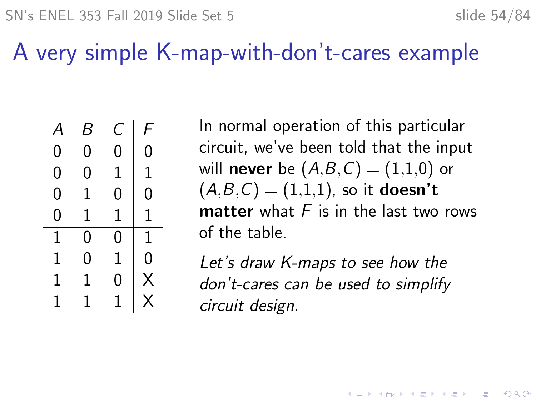## A very simple K-map-with-don't-cares example

| 4 | B | Ċ | F |
|---|---|---|---|
| 0 | 0 | 0 | 0 |
| 0 | 0 | 1 | 1 |
| 0 | 1 | 0 | 0 |
| 0 | 1 | 1 | 1 |
| 1 | 0 | 0 | 1 |
| 1 | 0 | 1 | 0 |
| 1 | 1 | 0 | Χ |
| 1 | 1 |   | X |

In normal operation of this particular circuit, we've been told that the input will **never** be  $(A,B,C) = (1,1,0)$  or  $(A,B,C) = (1,1,1)$ , so it **doesn't matter** what  $F$  is in the last two rows of the table.

Let's draw K-maps to see how the don't-cares can be used to simplify circuit design.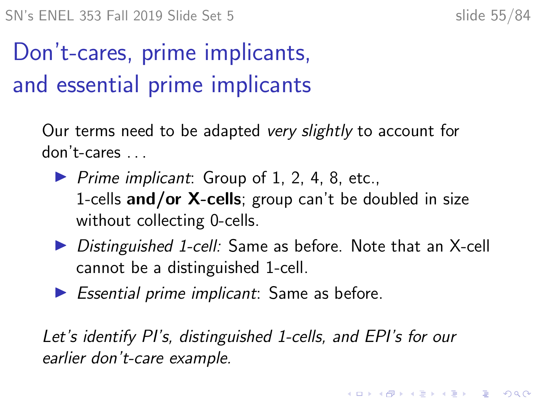4 0 > 4 4 + 4 = + 4 = + = + + 0 4 0 +

## Don't-cares, prime implicants, and essential prime implicants

Our terms need to be adapted very slightly to account for don't-cares

- $\triangleright$  Prime implicant: Group of 1, 2, 4, 8, etc., 1-cells and/or  $X$ -cells; group can't be doubled in size without collecting 0-cells.
- ▶ Distinguished 1-cell: Same as before. Note that an X-cell cannot be a distinguished 1-cell.
- $\blacktriangleright$  Essential prime implicant: Same as before.

Let's identify PI's, distinguished 1-cells, and EPI's for our earlier don't-care example.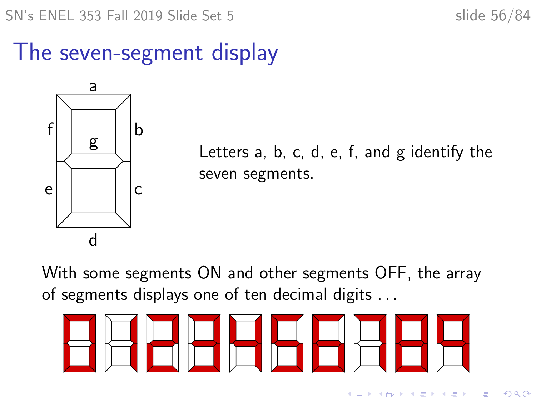SN's ENEL 353 Fall 2019 Slide Set 5 slide 56/84

## The seven-segment display



Letters a, b, c, d, e, f, and g identify the seven segments.

With some segments ON and other segments OFF, the array of segments displays one of ten decimal digits . . .

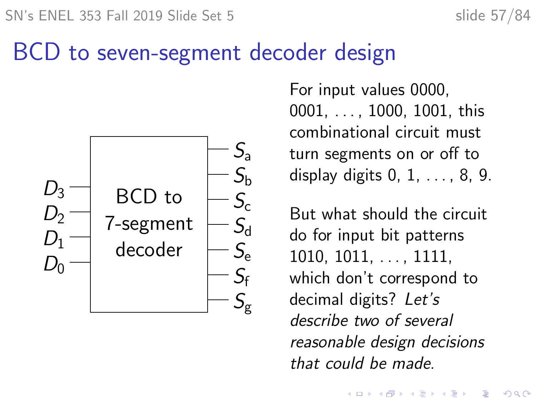### BCD to seven-segment decoder design



For input values 0000, 0001, . . . , 1000, 1001, this combinational circuit must turn segments on or off to display digits 0, 1, . . . , 8, 9.

But what should the circuit do for input bit patterns  $1010, 1011, \ldots, 1111,$ which don't correspond to decimal digits? Let's describe two of several reasonable design decisions that could be made.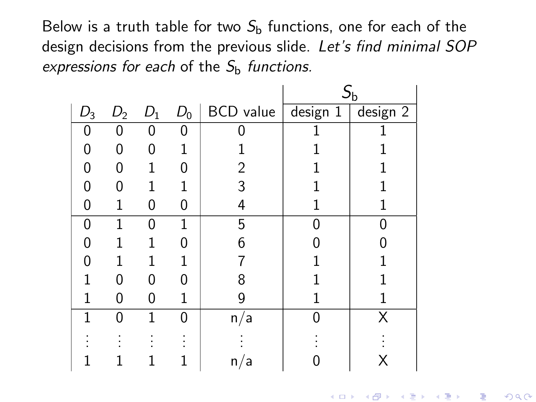Below is a truth table for two  $S<sub>b</sub>$  functions, one for each of the design decisions from the previous slide. Let's find minimal SOP expressions for each of the  $S<sub>b</sub>$  functions.

|       |                |       |       |                                                           | $S_{\rm b}$ |   |
|-------|----------------|-------|-------|-----------------------------------------------------------|-------------|---|
| $D_3$ | D <sub>2</sub> | $D_1$ | $D_0$ | BCD value $\sqrt{\frac{1}{1} \text{ design } 1}$ design 2 |             |   |
| 0     | O              | 0     | 0     |                                                           |             |   |
| 0     | 0              | 0     |       |                                                           |             |   |
| N     | O              | 1     |       | 2                                                         |             |   |
| O     | O              | 1     |       | 3                                                         |             |   |
| Ω     |                | 0     | N     | 4                                                         |             |   |
| 0     |                | 0     | 1     | 5                                                         |             |   |
| Ω     |                |       |       | 6                                                         |             |   |
| N     |                | 1     |       |                                                           |             |   |
|       | U              | 0     | U     | 8                                                         |             |   |
|       | U              | U     |       | g                                                         |             |   |
|       | N              | 1     | 0     | n/a                                                       | N           | X |
|       |                |       |       |                                                           |             |   |
|       |                |       |       | 'a<br>n/                                                  |             |   |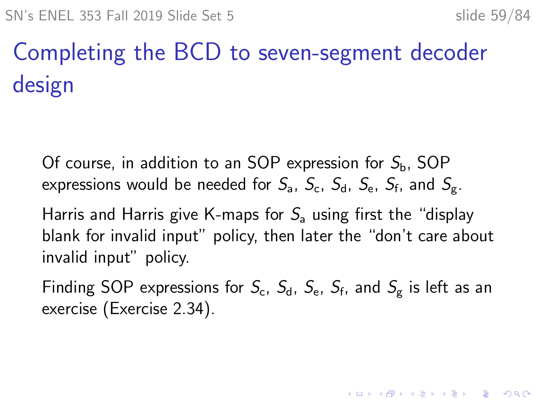4 0 > 4 4 + 4 = + 4 = + = + + 0 4 0 +

# Completing the BCD to seven-segment decoder design

Of course, in addition to an SOP expression for  $S_{\rm b}$ , SOP expressions would be needed for  $\mathcal{S}_{\mathsf{a}},\ \mathcal{S}_{\mathsf{c}},\ \mathcal{S}_{\mathsf{d}},\ \mathcal{S}_{\mathsf{e}},\ \mathcal{S}_{\mathsf{f}},\ \mathsf{and}\ \mathcal{S}_{\mathsf{g}}.$ 

Harris and Harris give K-maps for  $S_a$  using first the "display blank for invalid input" policy, then later the "don't care about invalid input" policy.

Finding SOP expressions for  $S_{\rm c}$ ,  $S_{\rm d}$ ,  $S_{\rm e}$ ,  $S_{\rm f}$ , and  $S_{\rm g}$  is left as an exercise (Exercise 2.34).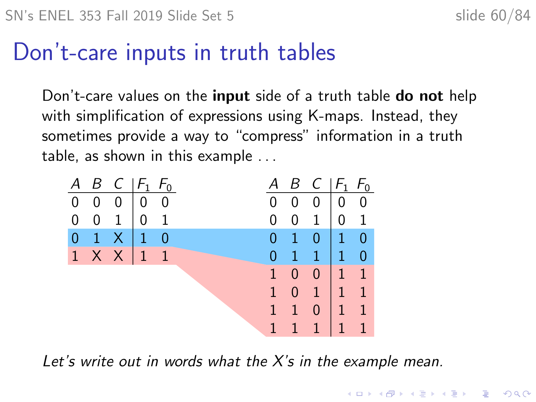## Don't-care inputs in truth tables

Don't-care values on the **input** side of a truth table **do not** help with simplification of expressions using K-maps. Instead, they sometimes provide a way to "compress" information in a truth table, as shown in this example . . .

| A              |                | $B \ C  F_1 F_0$  |  | Α            |                | $B \, C \,  F_1 \, F_0$ |                                                   |                |
|----------------|----------------|-------------------|--|--------------|----------------|-------------------------|---------------------------------------------------|----------------|
|                | $0\quad 0$     | $0 \mid 0 \mid 0$ |  | 0            |                |                         | $0 \mid 0 \mid 0$                                 |                |
| $\overline{0}$ | $\overline{0}$ | $1 \mid 0 \mid 1$ |  | 0            | 0              | 1 <sup>1</sup>          | 0 <sub>1</sub>                                    |                |
| 0              |                | $1 \times 10$     |  | 0            | <b>T</b>       | $\overline{0}$          | $\begin{pmatrix} 1 & 0 \\ 0 & 1 \end{pmatrix}$    |                |
|                |                | $1 \times X$ 1 1  |  | 0            | <b>T</b>       | 1                       | $\begin{pmatrix} 1 & 0 \end{pmatrix}$             |                |
|                |                |                   |  | $\mathbf{1}$ | $\overline{0}$ | $\overline{0}$          | $\begin{array}{ c c c c c } \hline \end{array}$ 1 |                |
|                |                |                   |  | $\mathbf{1}$ | $\overline{0}$ | $\blacksquare$          | $\begin{vmatrix} 1 & 1 \end{vmatrix}$             |                |
|                |                |                   |  | $\mathbf{1}$ | Æ              | $\overline{0}$          | Æ                                                 | $\overline{1}$ |
|                |                |                   |  | 1            |                | 1                       | $\mathbf{T}$                                      | $\overline{1}$ |

Let's write out in words what the  $X$ 's in the example mean.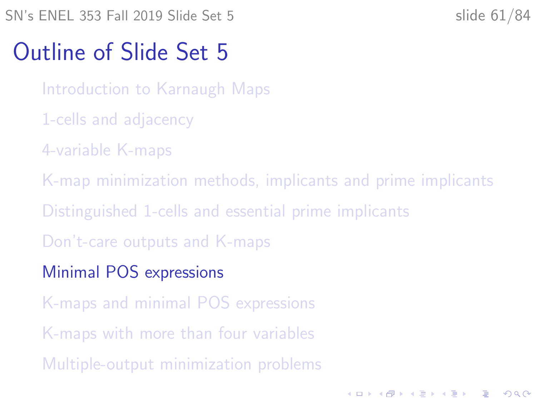<span id="page-60-0"></span>SN's ENEL 353 Fall 2019 Slide Set 5 slide 61/84

**KORKARYKERKER POLO** 

## Outline of Slide Set 5

[Introduction to Karnaugh Maps](#page-2-0)

- [1-cells and adjacency](#page-11-0)
- [4-variable K-maps](#page-17-0)

[K-map minimization methods, implicants and prime implicants](#page-28-0)

[Distinguished 1-cells and essential prime implicants](#page-38-0)

[Don't-care outputs and K-maps](#page-51-0)

[Minimal POS expressions](#page-60-0)

[K-maps and minimal POS expressions](#page-66-0)

[K-maps with more than four variables](#page-72-0)

[Multiple-output minimization problems](#page-79-0)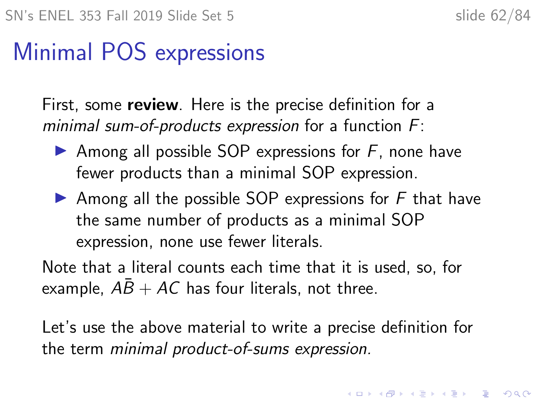## Minimal POS expressions

First, some **review**. Here is the precise definition for a minimal sum-of-products expression for a function  $F$ :

- Among all possible SOP expressions for  $F$ , none have fewer products than a minimal SOP expression.
- Among all the possible SOP expressions for  $F$  that have the same number of products as a minimal SOP expression, none use fewer literals.

Note that a literal counts each time that it is used, so, for example,  $AB + AC$  has four literals, not three.

Let's use the above material to write a precise definition for the term minimal product-of-sums expression.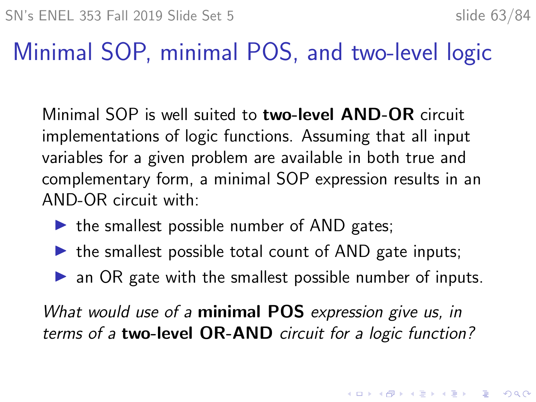## Minimal SOP, minimal POS, and two-level logic

Minimal SOP is well suited to two-level AND-OR circuit implementations of logic functions. Assuming that all input variables for a given problem are available in both true and complementary form, a minimal SOP expression results in an AND-OR circuit with:

- $\triangleright$  the smallest possible number of AND gates;
- $\triangleright$  the smallest possible total count of AND gate inputs;
- $\triangleright$  an OR gate with the smallest possible number of inputs.

What would use of a **minimal POS** expression give us, in terms of a two-level OR-AND circuit for a logic function?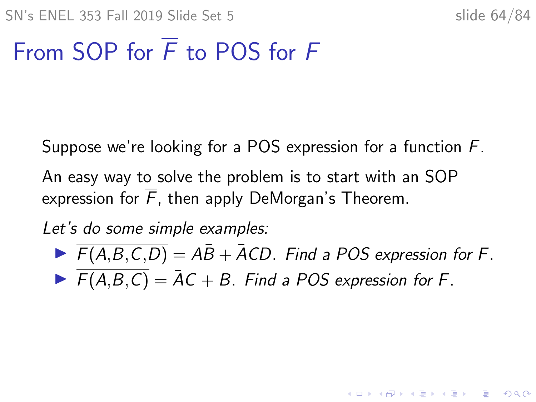**KORKARYKERKER POLO** 

## From SOP for  $\overline{F}$  to POS for  $F$

Suppose we're looking for a POS expression for a function F.

An easy way to solve the problem is to start with an SOP expression for  $\overline{F}$ , then apply DeMorgan's Theorem.

Let's do some simple examples:

 $F(A,B,C,D) = AB + ACD$ . Find a POS expression for F.  $\blacktriangleright$   $\overline{F(A,B,C)} = \overline{A}C + B$ . Find a POS expression for F.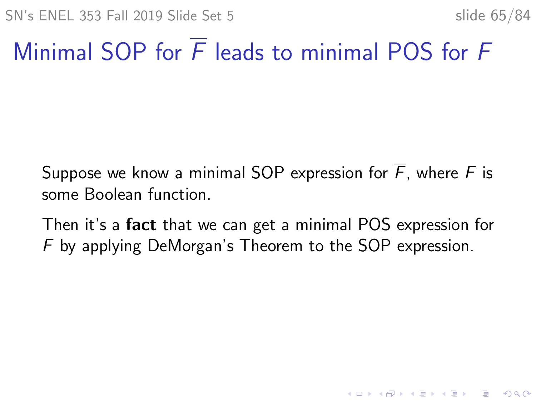**KORKARYKERKER POLO** 

## Minimal SOP for  $\overline{F}$  leads to minimal POS for  $F$

Suppose we know a minimal SOP expression for  $\overline{F}$ , where F is some Boolean function.

Then it's a **fact** that we can get a minimal POS expression for F by applying DeMorgan's Theorem to the SOP expression.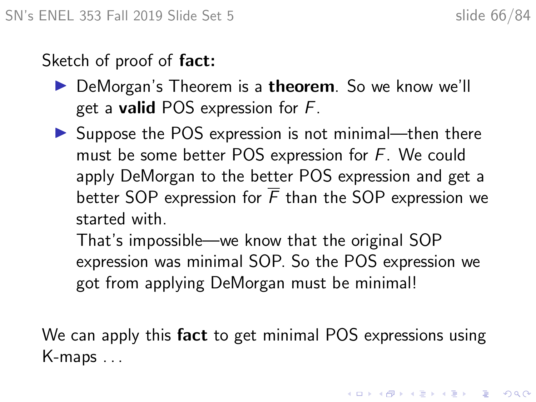Sketch of proof of **fact**:

- $\triangleright$  DeMorgan's Theorem is a **theorem**. So we know we'll get a **valid** POS expression for  $F$ .
- $\triangleright$  Suppose the POS expression is not minimal—then there must be some better POS expression for  $F$ . We could apply DeMorgan to the better POS expression and get a better SOP expression for  $\overline{F}$  than the SOP expression we started with.

That's impossible—we know that the original SOP expression was minimal SOP. So the POS expression we got from applying DeMorgan must be minimal!

We can apply this fact to get minimal POS expressions using K-maps . . .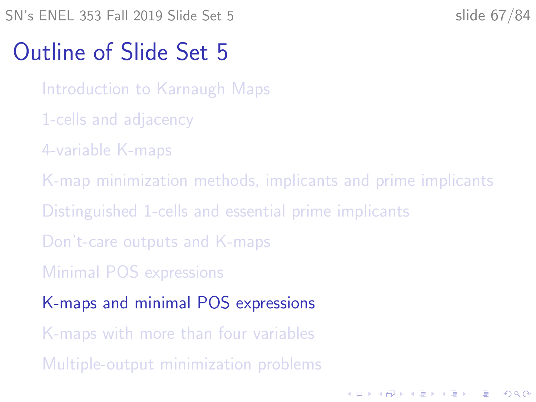<span id="page-66-0"></span>SN's ENEL 353 Fall 2019 Slide Set 5 slide 67/84

**KORKARYKERKER POLO** 

### Outline of Slide Set 5

[Introduction to Karnaugh Maps](#page-2-0)

- [1-cells and adjacency](#page-11-0)
- [4-variable K-maps](#page-17-0)
- [K-map minimization methods, implicants and prime implicants](#page-28-0)
- [Distinguished 1-cells and essential prime implicants](#page-38-0)
- [Don't-care outputs and K-maps](#page-51-0)
- [Minimal POS expressions](#page-60-0)
- [K-maps and minimal POS expressions](#page-66-0)
- [K-maps with more than four variables](#page-72-0)
- [Multiple-output minimization problems](#page-79-0)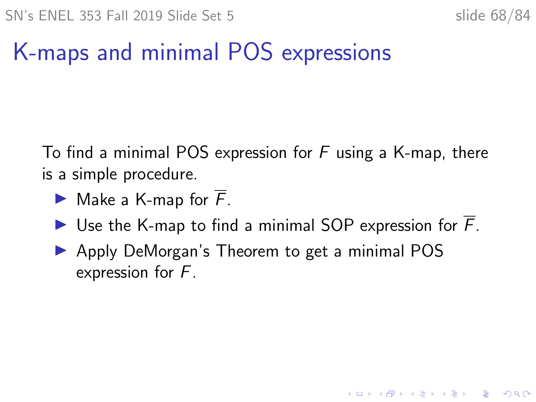**KORKARYKERKER POLO** 

## K-maps and minimal POS expressions

To find a minimal POS expression for  $F$  using a K-map, there is a simple procedure.

- $\blacktriangleright$  Make a K-map for  $\overline{F}$ .
- I Use the K-map to find a minimal SOP expression for  $\overline{F}$ .
- ▶ Apply DeMorgan's Theorem to get a minimal POS expression for F.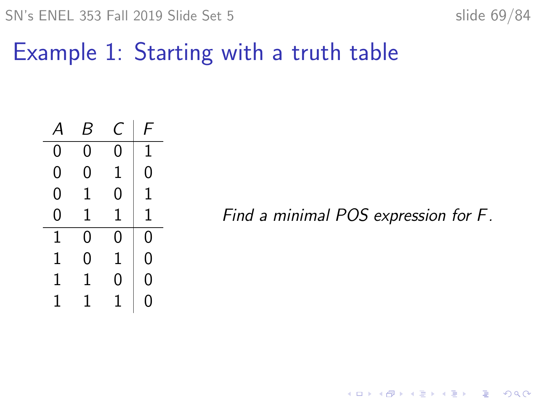$SN's ENEL 353 Fall 2019 Slide Set 5$  slide 69/84

Example 1: Starting with a truth table

| $\boldsymbol{\mathsf{A}}$ | B | C | F  |
|---------------------------|---|---|----|
| 0                         | 0 | 0 | 1  |
| 0                         | 0 | 1 | 0  |
| 0                         | 1 | 0 | 1  |
| 0                         | 1 | 1 | 1  |
| 1                         | 0 | 0 | 0  |
| 1                         | 0 | 1 | 0  |
| 1                         | 1 | 0 | 0  |
| 1                         | 1 | 1 | 1) |

Find a minimal POS expression for F.

KO K K Ø K K E K K E K V K K K K K K K K K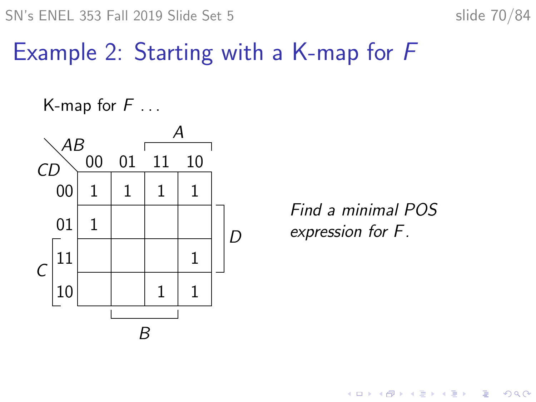SN's ENEL 353 Fall 2019 Slide Set 5 slide 70/84

### Example 2: Starting with a K-map for F

K-map for  $F \dots$ 



Find a minimal POS expression for F.

**K ロ ▶ K 何 ▶ K ヨ ▶ K ヨ ▶** 

 $\equiv$ 

 $2990$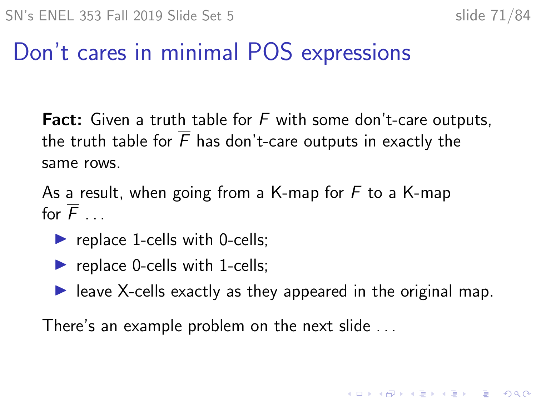KID K 4 D K 4 B X 4 B X 1 B YO A CH

## Don't cares in minimal POS expressions

**Fact:** Given a truth table for  $F$  with some don't-care outputs, the truth table for  $\overline{F}$  has don't-care outputs in exactly the same rows.

As a result, when going from a K-map for  $F$  to a K-map for  $\overline{F}$ 

- replace 1-cells with 0-cells;
- replace 0-cells with 1-cells;
- $\blacktriangleright$  leave X-cells exactly as they appeared in the original map.

There's an example problem on the next slide . . .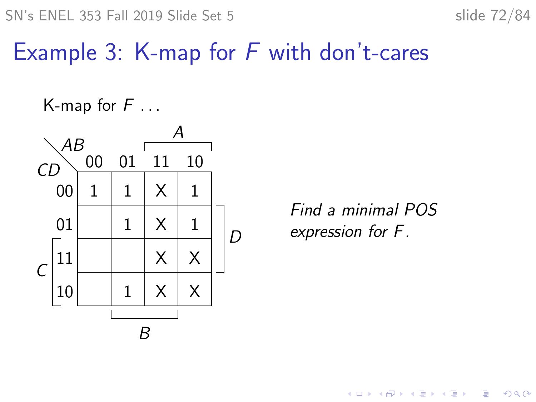SN's ENEL 353 Fall 2019 Slide Set 5 slide 72/84

## Example 3: K-map for  $F$  with don't-cares

K-map for  $F \dots$ 



Find a minimal POS expression for F.

> **K ロ ▶ K 何 ▶ K ヨ ▶ K ヨ ▶** ÷.  $2990$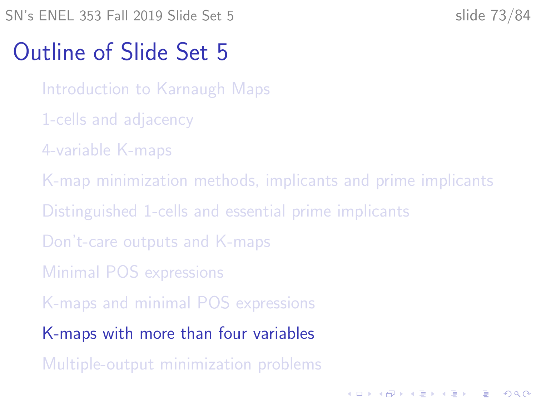<span id="page-72-0"></span>SN's ENEL 353 Fall 2019 Slide Set 5 slide 73/84

**KORKARYKERKER POLO** 

## Outline of Slide Set 5

[Introduction to Karnaugh Maps](#page-2-0)

- [1-cells and adjacency](#page-11-0)
- [4-variable K-maps](#page-17-0)
- [K-map minimization methods, implicants and prime implicants](#page-28-0)
- [Distinguished 1-cells and essential prime implicants](#page-38-0)
- [Don't-care outputs and K-maps](#page-51-0)
- [Minimal POS expressions](#page-60-0)
- [K-maps and minimal POS expressions](#page-66-0)
- [K-maps with more than four variables](#page-72-0)
- [Multiple-output minimization problems](#page-79-0)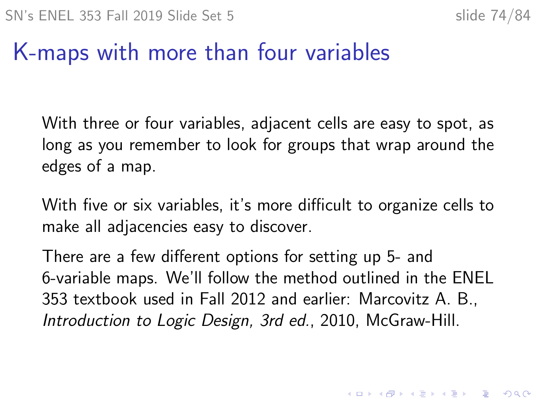4 0 > 4 4 + 4 = + 4 = + = + + 0 4 0 +

# K-maps with more than four variables

With three or four variables, adjacent cells are easy to spot, as long as you remember to look for groups that wrap around the edges of a map.

With five or six variables, it's more difficult to organize cells to make all adjacencies easy to discover.

There are a few different options for setting up 5- and 6-variable maps. We'll follow the method outlined in the ENEL 353 textbook used in Fall 2012 and earlier: Marcovitz A. B., Introduction to Logic Design, 3rd ed., 2010, McGraw-Hill.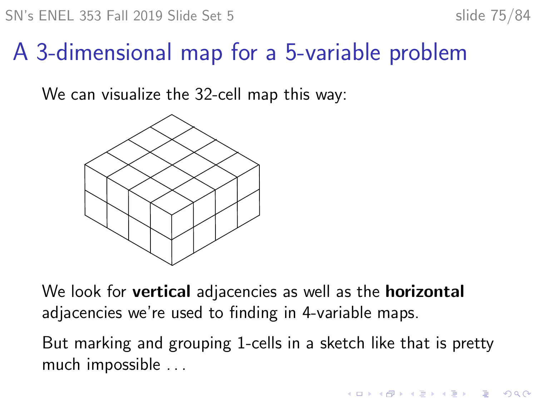**KORKARYKERKER POLO** 

# A 3-dimensional map for a 5-variable problem

We can visualize the 32-cell map this way:



We look for **vertical** adjacencies as well as the **horizontal** adjacencies we're used to finding in 4-variable maps.

But marking and grouping 1-cells in a sketch like that is pretty much impossible . . .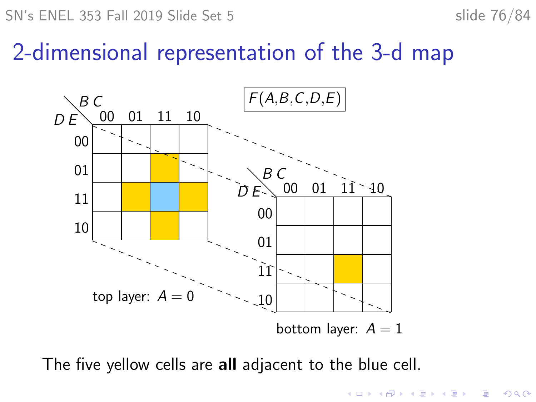SN's ENEL 353 Fall 2019 Slide Set 5 slide 76/84

#### 2-dimensional representation of the 3-d map



The five yellow cells are all adjacent to the blue cell.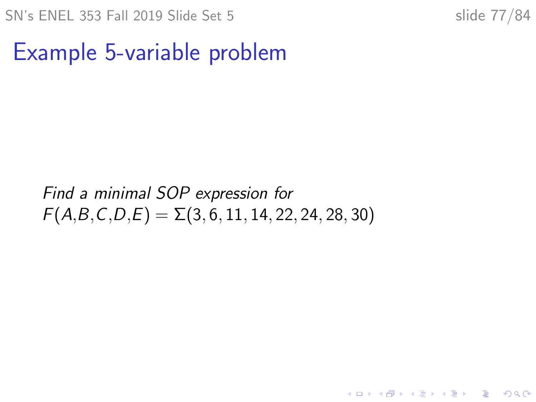**KORK ERKER ADAM ADA** 

# Example 5-variable problem

#### Find a minimal SOP expression for  $F(A,B,C,D,E) = \Sigma(3,6,11,14,22,24,28,30)$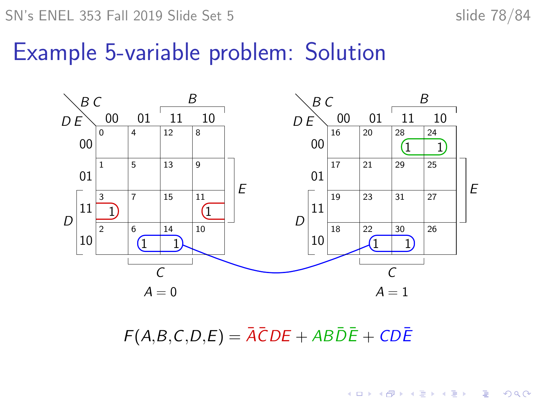SN's ENEL 353 Fall 2019 Slide Set 5 slide 78/84

 $\mathbf{E} = \mathbf{A} \oplus \mathbf{B} + \mathbf{A} \oplus \mathbf{B} + \mathbf{A} \oplus \mathbf{B} + \mathbf{A} \oplus \mathbf{A}$ 

## Example 5-variable problem: Solution



 $F(A,B,C,D,E) = \overline{A} \overline{C}DE + AB\overline{D}\overline{E} + CD\overline{E}$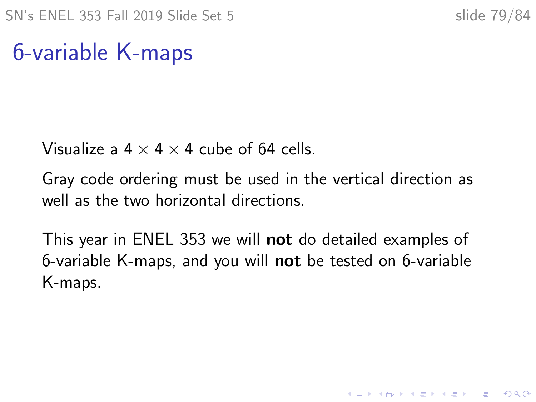K ロ ▶ K 個 ▶ K 할 ▶ K 할 ▶ 이 할 → 9 Q Q →

# 6-variable K-maps

Visualize a  $4 \times 4 \times 4$  cube of 64 cells.

Gray code ordering must be used in the vertical direction as well as the two horizontal directions.

This year in ENEL 353 we will not do detailed examples of 6-variable K-maps, and you will not be tested on 6-variable K-maps.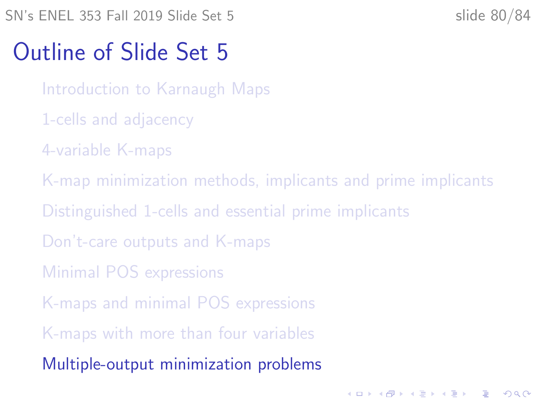<span id="page-79-0"></span>SN's ENEL 353 Fall 2019 Slide Set 5 slide 80/84

**KORKARYKERKER POLO** 

## Outline of Slide Set 5

[Introduction to Karnaugh Maps](#page-2-0)

- [1-cells and adjacency](#page-11-0)
- [4-variable K-maps](#page-17-0)
- [K-map minimization methods, implicants and prime implicants](#page-28-0)
- [Distinguished 1-cells and essential prime implicants](#page-38-0)
- [Don't-care outputs and K-maps](#page-51-0)
- [Minimal POS expressions](#page-60-0)
- [K-maps and minimal POS expressions](#page-66-0)
- [K-maps with more than four variables](#page-72-0)
- [Multiple-output minimization problems](#page-79-0)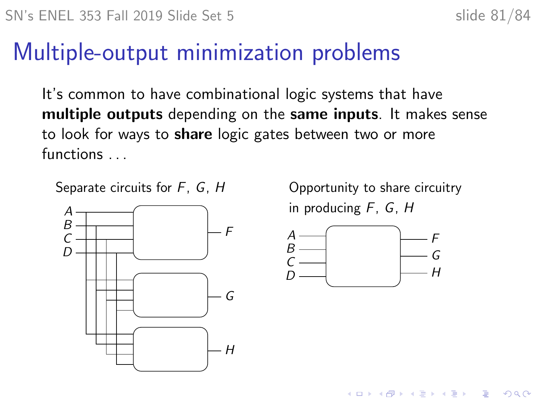# Multiple-output minimization problems

It's common to have combinational logic systems that have multiple outputs depending on the same inputs. It makes sense to look for ways to **share** logic gates between two or more functions . . .

Separate circuits for  $F$ ,  $G$ ,  $H$  Opportunity to share circuitry



in producing F, G, H

**KORKARYKERKER POLO** 

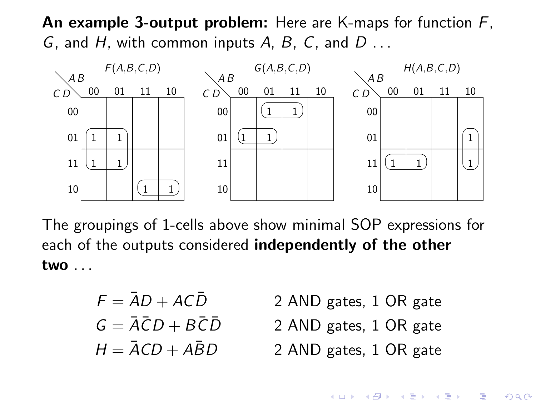An example 3-output problem: Here are K-maps for function  $F$ , G, and H, with common inputs A, B, C, and  $D \ldots$ 



The groupings of 1-cells above show minimal SOP expressions for each of the outputs considered independently of the other two . . .

$$
F = \bar{A}D + AC\bar{D}
$$

$$
G = \bar{A}\bar{C}D + B\bar{C}\bar{D}
$$

$$
H = \bar{A}CD + A\bar{B}D
$$

- 2 AND gates, 1 OR gate
- 2 AND gates, 1 OR gate
- 2 AND gates, 1 OR gate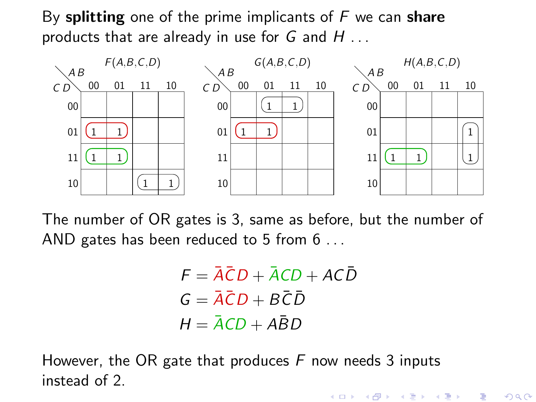By splitting one of the prime implicants of  $F$  we can share products that are already in use for  $G$  and  $H$ ...



The number of OR gates is 3, same as before, but the number of AND gates has been reduced to 5 from 6 ...

> $F = \overline{A} \overline{C} D + \overline{A} C D + A C \overline{D}$  $G = \overline{A}\overline{C}D + B\overline{C}\overline{D}$  $H = \overline{A}CD + A\overline{B}D$

> > (ロ) (個) (星) (星)

 $2Q$ 

一目

However, the OR gate that produces  $F$  now needs 3 inputs instead of 2.